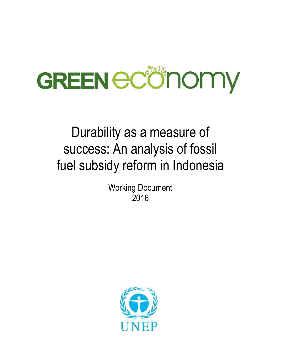

# Durability as a measure of success: An analysis of fossil fuel subsidy reform in Indonesia

Working Document 2016

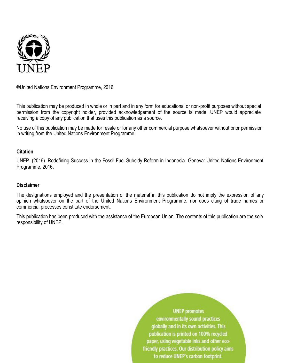

**©**United Nations Environment Programme, 2016

This publication may be produced in whole or in part and in any form for educational or non-profit purposes without special permission from the copyright holder, provided acknowledgement of the source is made. UNEP would appreciate receiving a copy of any publication that uses this publication as a source.

No use of this publication may be made for resale or for any other commercial purpose whatsoever without prior permission in writing from the United Nations Environment Programme.

#### **Citation**

UNEP. (2016). Redefining Success in the Fossil Fuel Subsidy Reform in Indonesia. Geneva: United Nations Environment Programme, 2016.

#### **Disclaimer**

The designations employed and the presentation of the material in this publication do not imply the expression of any opinion whatsoever on the part of the United Nations Environment Programme, nor does citing of trade names or commercial processes constitute endorsement.

This publication has been produced with the assistance of the European Union. The contents of this publication are the sole responsibility of UNEP.

> **UNEP** promotes environmentally sound practices globally and in its own activities. This publication is printed on 100% recycled paper, using vegetable inks and other ecofriendly practices. Our distribution policy aims to reduce UNEP's carbon footprint.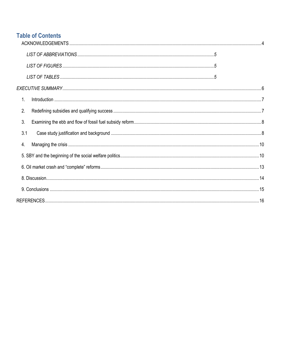# **Table of Contents**

| 1.  |  |
|-----|--|
| 2.  |  |
| 3.  |  |
| 3.1 |  |
| 4.  |  |
|     |  |
|     |  |
|     |  |
|     |  |
|     |  |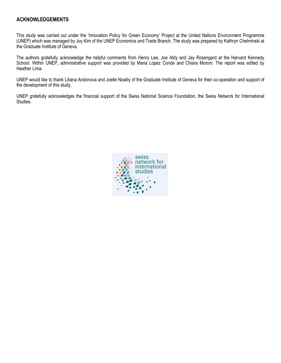#### <span id="page-3-0"></span>**ACKNOWLEDGEMENTS**

This study was carried out under the 'Innovation Policy for Green Economy' Project at the United Nations Environment Programme (UNEP) which was managed by Joy Kim of the UNEP Economics and Trade Branch. The study was prepared by Kathryn Chelminski at the Graduate Institute of Geneva.

The authors gratefully acknowledge the helpful comments from Henry Lee, Joe Aldy and Jay Rosengard at the Harvard Kennedy School. Within UNEP, administrative support was provided by Maria Lopez Conde and Chiara Moroni. The report was edited by Heather Lima.

UNEP would like to thank Liliana Andonova and Joelle Noailly of the Graduate Institute of Geneva for their co-operation and support of the development of this study.

UNEP gratefully acknowledges the financial support of the Swiss National Science Foundation, the Swiss Network for International Studies.

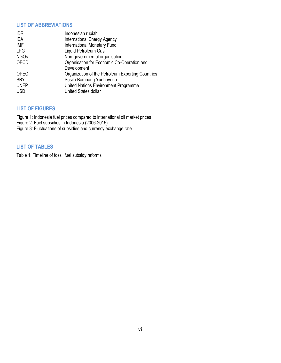#### <span id="page-4-0"></span>**LIST OF ABBREVIATIONS**

| <b>IDR</b>  | Indonesian rupiah                                 |
|-------------|---------------------------------------------------|
| IEA         | <b>International Energy Agency</b>                |
| <b>IMF</b>  | <b>International Monetary Fund</b>                |
| <b>LPG</b>  | Liquid Petroleum Gas                              |
| <b>NGOs</b> | Non-governmental organisation                     |
| <b>OECD</b> | Organisation for Economic Co-Operation and        |
|             | Development                                       |
| <b>OPEC</b> | Organization of the Petroleum Exporting Countries |
| <b>SBY</b>  | Susilo Bambang Yudhoyono                          |
| <b>UNEP</b> | United Nations Environment Programme              |
| <b>USD</b>  | United States dollar                              |
|             |                                                   |

#### <span id="page-4-1"></span>**LIST OF FIGURES**

Figure 1: Indonesia fuel prices compared to international oil market prices Figure 2: Fuel subsidies in Indonesia (2006-2015)

Figure 3: Fluctuations of subsidies and currency exchange rate

#### <span id="page-4-2"></span>**LIST OF TABLES**

Table 1: Timeline of fossil fuel subsidy reforms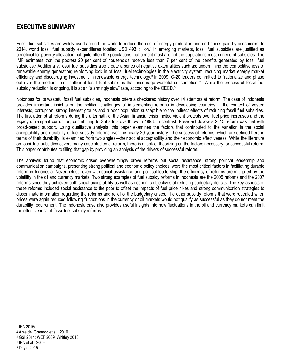# <span id="page-5-0"></span>**EXECUTIVE SUMMARY**

Fossil fuel subsidies are widely used around the world to reduce the cost of energy production and end prices paid by consumers. In 2014, world fossil fuel subsidy expenditures totalled USD 493 billion.<sup>1</sup> In emerging markets, fossil fuel subsidies are justified as beneficial for poverty alleviation but quite often the populations that benefit most are not the populations most in need of subsidies. The IMF estimates that the poorest 20 per cent of households receive less than 7 per cent of the benefits generated by fossil fuel subsidies.<sup>2</sup> Additionally, fossil fuel subsidies also create a series of negative externalities such as: undermining the competitiveness of renewable energy generation; reinforcing lock in of fossil fuel technologies in the electricity system; reducing market energy market efficiency and discouraging investment in renewable energy technology.<sup>3</sup> In 2009, G-20 leaders committed to "rationalize and phase out over the medium term inefficient fossil fuel subsidies that encourage wasteful consumption."<sup>4</sup> While the process of fossil fuel subsidy reduction is ongoing, it is at an "alarmingly slow" rate, according to the OECD.<sup>5</sup>

Notorious for its wasteful fossil fuel subsidies, Indonesia offers a checkered history over 14 attempts at reform. The case of Indonesia provides important insights on the political challenges of implementing reforms in developing countries in the context of vested interests, corruption, strong interest groups and a poor population susceptible to the indirect effects of reducing fossil fuel subsidies. The first attempt at reforms during the aftermath of the Asian financial crisis incited violent protests over fuel price increases and the legacy of rampant corruption, contributing to Suharto's overthrow in 1998. In contrast, President Jokowi's 2015 reform was met with broad-based support. Using qualitative analysis, this paper examines the factors that contributed to the variation in the social acceptability and durability of fuel subsidy reforms over the nearly 20-year history. The success of reforms, which are defined here in terms of their durability, is examined from two angles—their social acceptability and their economic effectiveness. While the literature on fossil fuel subsidies covers many case studies of reform, there is a lack of theorizing on the factors necessary for successful reform. This paper contributes to filling that gap by providing an analysis of the drivers of successful reform.

The analysis found that economic crises overwhelmingly drove reforms but social assistance, strong political leadership and communication campaigns, presenting strong political and economic policy choices, were the most critical factors in facilitating durable reform in Indonesia. Nevertheless, even with social assistance and political leadership, the efficiency of reforms are mitigated by the volatility in the oil and currency markets. Two strong examples of fuel subsidy reforms in Indonesia are the 2005 reforms and the 2007 reforms since they achieved both social acceptability as well as economic objectives of reducing budgetary deficits. The key aspects of these reforms included social assistance to the poor to offset the impacts of fuel price hikes and strong communication strategies to disseminate information regarding the reforms and relief of the budgetary crises. The other subsidy reforms that were repealed when prices were again reduced following fluctuations in the currency or oil markets would not qualify as successful as they do not meet the durability requirement. The Indonesia case also provides useful insights into how fluctuations in the oil and currency markets can limit the effectiveness of fossil fuel subsidy reforms.

 $\overline{\phantom{a}}$ 

<sup>1</sup> IEA 2015a

<sup>2</sup> Arze del Granado et al.. 2010

<sup>3</sup> GSI 2014; WEF 2009; Whitley 2013

<sup>4</sup> IEA et al.. 2009

<sup>5</sup> Doyle 2015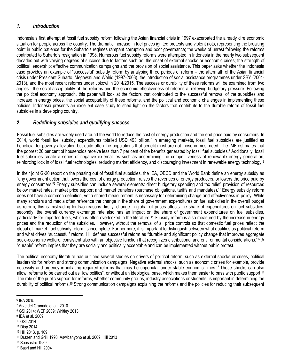# <span id="page-6-0"></span>*1. Introduction*

Indonesia's first attempt at fossil fuel subsidy reform following the Asian financial crisis in 1997 exacerbated the already dire economic situation for people across the country. The dramatic increase in fuel prices ignited protests and violent riots, representing the breaking point in public patience for the Suharto's regimes rampant corruption and poor governance; the weeks of unrest following the reforms contributed to Suharto's resignation in 1998. Numerous fuel subsidy reforms were attempted in Indonesia in the nearly two subsequent decades but with varying degrees of success due to factors such as: the onset of external shocks or economic crises; the strength of political leadership; effective communication campaigns and the provision of social assistance. This paper asks whether the Indonesia case provides an example of "successful" subsidy reform by analysing three periods of reform – the aftermath of the Asian financial crisis under President Suharto, Megawati and Wahid (1997-2003), the introduction of social assistance programmes under SBY (2004- 2013), and the most recent reforms under Jokowi in 2014/2015. The success or durability of these reforms will be examined from two angles—the social acceptability of the reforms and the economic effectiveness of reforms at relieving budgetary pressure. Following the political economy approach, this paper will look at the factors that contributed to the successful removal of the subsidies and increase in energy prices, the social acceptability of these reforms, and the political and economic challenges in implementing these policies. Indonesia presents an excellent case study to shed light on the factors that contribute to the durable reform of fossil fuel subsidies in a developing country.

## <span id="page-6-1"></span>*2. Redefining subsidies and qualifying success*

Fossil fuel subsidies are widely used around the world to reduce the cost of energy production and the end price paid by consumers. In 2014, world fossil fuel subsidy expenditures totalled USD 493 billion.<sup>6</sup> In emerging markets, fossil fuel subsidies are justified as beneficial for poverty alleviation but quite often the populations that benefit most are not those in most need. The IMF estimates that the poorest 20 per cent of households receive less than 7 per cent of the benefits generated by fossil fuel subsidies.<sup>7</sup> Additionally, fossil fuel subsidies create a series of negative externalities such as undermining the competitiveness of renewable energy generation, reinforcing lock in of fossil fuel technologies, reducing market efficiency, and discouraging investment in renewable energy technology.<sup>8</sup>

In their joint G-20 report on the phasing out of fossil fuel subsidies, the IEA, OECD and the World Bank define an energy subsidy as "any government action that lowers the cost of energy production, raises the revenues of energy producers, or lowers the price paid by energy consumers."<sup>9</sup> Energy subsidies can include several elements: direct budgetary spending and tax relief, provision of resources below market rates, market price support and market transfers (purchase obligations, tariffs and mandates).<sup>10</sup> Energy subsidy reform does not have a common definition, yet a shared measurement is necessary for determining change and effectiveness in policy. While many scholars and media often reference the change in the share of government expenditures on fuel subsidies in the overall budget as reform, this is misleading for two reasons: firstly, change in global oil prices affects the share of expenditures on fuel subsidies; secondly, the overall currency exchange rate also has an impact on the share of government expenditures on fuel subsidies, particularly for imported fuels, which is often overlooked in the literature.<sup>11</sup> Subsidy reform is also measured by the increase in energy prices and the reduction of the subsidies. However, without the removal of all price controls so that domestic fuel prices reflect the global oil market, fuel subsidy reform is incomplete. Furthermore, it is important to distinguish between what qualifies as political reform and what drives "successful" reform. Hill defines successful reform as "durable and significant policy change that improves aggregate socio-economic welfare, consistent also with an objective function that recognizes distributional and environmental considerations."<sup>12</sup> A "durable" reform implies that they are socially and politically acceptable and can be implemented without public protest.

The political economy literature has outlined several studies on drivers of political reform, such as external shocks or crises, political leadership for reform and strong communication campaigns. Negative external shocks, such as economic crises for example, provide necessity and urgency in initiating required reforms that may be unpopular under stable economic times.<sup>13</sup> These shocks can also allow reforms to be carried out as "low politics", or without an ideological base, which makes them easier to pass with public support.<sup>14</sup> The role of the public support for reforms, whether community groups, industry associations or students, is important in determining the durability of political reforms.<sup>15</sup> Strong communication campaigns explaining the reforms and the policies for reducing their subsequent

6 IEA 2015

 $\overline{a}$ 

- 9 IEA et al. 2009
- <sup>10</sup> GSI 2014
- <sup>11</sup> Diop 2014
- <sup>12</sup> Hill 2013, p. 109
- <sup>13</sup> Drazen and Grilli 1993; Aswicahyono et al. 2009; Hill 2013
- <sup>14</sup> Soesastro 1989
- <sup>15</sup> Basri and Hill 2004

<sup>7</sup> Arze del Granado et al.. 2010

<sup>8</sup> GSI 2014; WEF 2009; Whitley 2013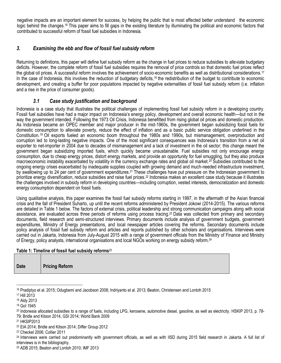negative impacts are an important element for success, by helping the public that is most affected better understand the economic logic behind the changes.<sup>16</sup> This paper aims to fill gaps in the existing literature by illuminating the political and economic factors that contributed to successful reform of fossil fuel subsidies in Indonesia.

# <span id="page-7-0"></span>*3. Examining the ebb and flow of fossil fuel subsidy reform*

Returning to definitions, this paper will define fuel subsidy reform as the change in fuel prices to reduce subsidies to alleviate budgetary deficits. However, the complete reform of fossil fuel subsidies requires the removal of price controls so that domestic fuel prices reflect the global oil prices. A successful reform involves the achievement of socio-economic benefits as well as distributional considerations.<sup>17</sup> In the case of Indonesia, this involves the reduction of budgetary deficits,<sup>18</sup> the redistribution of the budget to contribute to economic development, and creating a buffer for poor populations impacted by negative externalities of fossil fuel subsidy reform (i.e. inflation and a rise in the price of consumer goods).

## *3.1 Case study justification and background*

<span id="page-7-1"></span>Indonesia is a case study that illustrates the political challenges of implementing fossil fuel subsidy reform in a developing country. Fossil fuel subsidies have had a major impact on Indonesia's energy policy, development and overall economic health—but not in the way the government intended. Following the 1973 Oil Crisis, Indonesia benefitted from rising global oil prices and domestic production. As Indonesia became an OPEC member and major producer in the mid-1960s, the government began subsidizing fossil fuels for domestic consumption to alleviate poverty, reduce the effect of inflation and as a basic public service obligation underlined in the Constitution.<sup>19</sup> Oil exports fueled an economic boom throughout the 1980s and 1990s, but mismanagement, overproduction and corruption led to long-lasting negative impacts. One of the most significant consequences was Indonesia's transition from a net oil exporter to net-importer in 2004 due to decades of mismanagement and a lack of investment in the oil sector; this change meant the government began subsidizing imported fuels, which quickly became unsustainable. Fuel subsidies not only encourage energy consumption, due to cheap energy prices, distort energy markets, and provide an opportunity for fuel smuggling, but they also produce macroeconomic instability exacerbated by volatility in the currency exchange rates and global oil market.<sup>20</sup> Subsidies contributed to the ongoing energy crises exacerbated by inadequate supplies coupled with growing demand and much-needed infrastructure investment, by swallowing up to 24 per cent of government expenditures.<sup>21</sup> These challenges have put pressure on the Indonesian government to prioritize energy diversification, reduce subsidies and raise fuel prices.<sup>22</sup> Indonesia makes an excellent case study because it illustrates the challenges involved in subsidy reform in developing countries—including corruption, vested interests, democratization and domestic energy consumption dependent on fossil fuels.

Using qualitative analysis, this paper examines the fossil fuel subsidy reforms starting in 1997, in the aftermath of the Asian financial crisis and the fall of President Suharto, up until the recent reforms administered by President Jokowi (2014-2015). The various reforms are detailed in Table 1 below. The factors of external crisis, political leadership and strong communication campaigns along with social assistance, are evaluated across three periods of reforms using process tracing.<sup>23</sup> Data was collected from primary and secondary documents, field research and semi-structured interviews. Primary documents include analysis of government budgets, government expenditures, Ministry of Energy presentations, and local newspaper articles covering the reforms. Secondary documents include policy analysis of fossil fuel subsidy reform and articles and reports published by other scholars and organisations. Interviews were carried out in Jakarta, Indonesia from July-August 2015 with a range of government officials from the Ministry of Finance and Ministry of Energy, policy analysts, international organisations and local NGOs working on energy subsidy reform.<sup>24</sup>

#### **Table 1: Timeline of fossil fuel subsidy reforms**<sup>25</sup>

| <b>Date</b> | <b>Pricing Reform</b> |  |
|-------------|-----------------------|--|
|-------------|-----------------------|--|

<sup>16</sup> Pradiptyo et al. 2015; Odugbemi and Jacobson 2008; Indriyanto et al. 2013; Beaton, Christensen and Lontoh 2015

 $\overline{\phantom{a}}$ 

<sup>23</sup> Checkel 2006; Collier 2011

<sup>25</sup> ADB 2015; Beaton and Lontoh 2010; IMF 2013

<sup>17</sup> Hill 2013

<sup>18</sup> Aldy 2013

<sup>19</sup> GoI 1945

<sup>20</sup> Indonesia allocated subsidies to a range of fuels, including LPG, kerosene, automotive diesel, gasoline, as well as electricity. HSKIP 2013, p. 78- 79; Bridle and Kitson 2014, GSI 2014; World Bank 2009

<sup>21</sup> HKSIP2013

<sup>22</sup> EIA 2014; Bridle and Kitson 2014; Differ Group 2012

<sup>&</sup>lt;sup>24</sup> Interviews were carried out predominantly with government officials, as well as with IISD during 2015 field research in Jakarta. A full list of interviews is in the bibliography.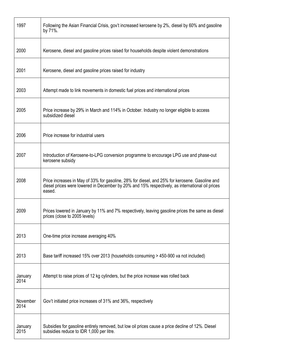| 1997             | Following the Asian Financial Crisis, gov't increased kerosene by 2%, diesel by 60% and gasoline<br>by 71%.                                                                                                 |
|------------------|-------------------------------------------------------------------------------------------------------------------------------------------------------------------------------------------------------------|
| 2000             | Kerosene, diesel and gasoline prices raised for households despite violent demonstrations                                                                                                                   |
| 2001             | Kerosene, diesel and gasoline prices raised for industry                                                                                                                                                    |
| 2003             | Attempt made to link movements in domestic fuel prices and international prices                                                                                                                             |
| 2005             | Price increase by 29% in March and 114% in October. Industry no longer eligible to access<br>subsidized diesel                                                                                              |
| 2006             | Price increase for industrial users                                                                                                                                                                         |
| 2007             | Introduction of Kerosene-to-LPG conversion programme to encourage LPG use and phase-out<br>kerosene subsidy                                                                                                 |
| 2008             | Price increases in May of 33% for gasoline, 28% for diesel, and 25% for kerosene. Gasoline and<br>diesel prices were lowered in December by 20% and 15% respectively, as international oil prices<br>eased. |
| 2009             | Prices lowered in January by 11% and 7% respectively, leaving gasoline prices the same as diesel<br>prices (close to 2005 levels)                                                                           |
| 2013             | One-time price increase averaging 40%                                                                                                                                                                       |
| 2013             | Base tariff increased 15% over 2013 (households consuming > 450-900 va not included)                                                                                                                        |
| January<br>2014  | Attempt to raise prices of 12 kg cylinders, but the price increase was rolled back                                                                                                                          |
| November<br>2014 | Gov't initiated price increases of 31% and 36%, respectively                                                                                                                                                |
| January<br>2015  | Subsidies for gasoline entirely removed, but low oil prices cause a price decline of 12%. Diesel<br>subsidies reduce to IDR 1,000 per litre.                                                                |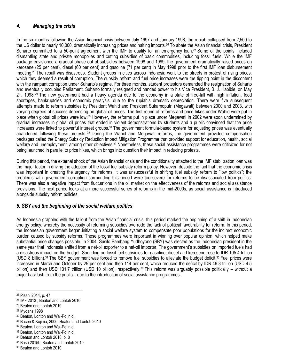# <span id="page-9-0"></span>*4. Managing the crisis*

In the six months following the Asian financial crisis between July 1997 and January 1998, the rupiah collapsed from 2,500 to the US dollar to nearly 10,000, dramatically increasing prices and halting imports.<sup>26</sup> To abate the Asian financial crisis, President Suharto committed to a 50-point agreement with the IMF to qualify for an emergency loan.<sup>27</sup> Some of the points included dismantling state and private monopolies and cutting subsidies of basic commodities, including fossil fuels. While the IMF package envisioned a gradual phase out of subsidies between 1998 and 1999, the government dramatically raised prices on kerosene (25 per cent), diesel (60 per cent) and gasoline (71 per cent) in May 1998 prior to the first IMF loan disbursement meeting.<sup>28</sup> The result was disastrous. Student groups in cities across Indonesia went to the streets in protest of rising prices, which they deemed a result of corruption. The subsidy reform and fuel price increases were the tipping point in the discontent with the rampant corruption under Suharto's regime. For three months, student protestors demanded the resignation of Suharto and eventually occupied Parliament. Suharto formally resigned and handed power to his Vice President, B. J. Habibie, on May 21, 1998.<sup>29</sup> The new government had a heavy agenda due to the economy in a state of free-fall with high inflation, food shortages, bankruptcies and economic paralysis, due to the rupiah's dramatic depreciation. There were five subsequent attempts made to reform subsidies by President Wahid and President Sukarnoputri (Megawati) between 2000 and 2003, with varying degrees of success depending on global oil prices. The first round of reforms and price hikes under Wahid were put in place when global oil prices were low.<sup>30</sup> However, the reforms put in place under Megawati in 2002 were soon undermined by gradual increases in global oil prices that ended in violent demonstrations by students and a public convinced that the price increases were linked to powerful interest groups.<sup>31</sup> The government formula-based system for adjusting prices was eventually abandoned following these protests. <sup>32</sup> During the Wahid and Megawati reforms, the government provided compensation packages called the Energy Subsidy Reduction Impact Mitigation Programme that provided support for education, health, social welfare and unemployment, among other objectives.<sup>33</sup> Nonetheless, these social assistance programmes were criticized for not being launched in parallel to price hikes, which brings into question their impact in reducing protests.

During this period, the external shock of the Asian financial crisis and the conditionality attached to the IMF stabilization loan was the major factor in driving the adoption of the fossil fuel subsidy reform policy. However, despite the fact that the economic crisis was important in creating the urgency for reforms, it was unsuccessful in shifting fuel subsidy reform to "low politics"; the problems with government corruption surrounding this period were too severe for reforms to be disassociated from politics. There was also a negative impact from fluctuations in the oil market on the effectiveness of the reforms and social assistance provisions. The next period looks at a more successful series of reforms in the mid-2000s, as social assistance is introduced alongside subsidy reform policies.

## <span id="page-9-1"></span>*5. SBY and the beginning of the social welfare politics*

As Indonesia grappled with the fallout from the Asian financial crisis, this period marked the beginning of a shift in Indonesian energy policy, whereby the necessity of reforming subsidies overrode the lack of political favourability for reform. In this period, the Indonesian government began initiating a social welfare system to compensate poor populations for the indirect economic burden caused by subsidy reforms. These programmes were important in winning over popular opinion, which helped make substantial price changes possible. In 2004, Susilo Bambang Yudhoyono (SBY) was elected as the Indonesian president in the same year that Indonesia shifted from a net-oil exporter to a net-oil importer. The government's subsidies on imported fuels had a disastrous impact on the budget. Spending on fossil fuel subsidies for gasoline, diesel and kerosene rose to IDR 105.4 trillion (USD 8 billion).<sup>34</sup> The SBY government was forced to remove fuel subsidies to alleviate the budget deficit.<sup>35</sup> Fuel prices were increased in March and October by 29 per cent and then 114 per cent, which reduced the deficit by IDR 49.3 trillion (USD 4.5 billion) and then USD 131.7 trillion (USD 10 billion), respectively.<sup>36</sup> This reform was arguably possible politically – without a major backlash from the public – due to the introduction of social assistance programmes.

l

<sup>36</sup> Beaton and Lontoh 2010

<sup>26</sup> Pisani 2014, p. 47

<sup>27</sup> IMF 2013 ; Beaton and Lontoh 2010

<sup>28</sup> Beaton and Lontoh 2010

<sup>29</sup> Mydans 1998

<sup>30</sup> Beaton, Lontoh and Wai-Poi n.d.

<sup>31</sup> Bacon & Kojima, 2006; Beaton and Lontoh 2010

<sup>32</sup> Beaton, Lontoh and Wai-Poi n.d.

<sup>33</sup> Beaton, Lontoh and Wai-Poi n.d.

<sup>34</sup> Beaton and Lontoh 2010, p. 8

<sup>35</sup> Basri 2015b; Beaton and Lontoh 2010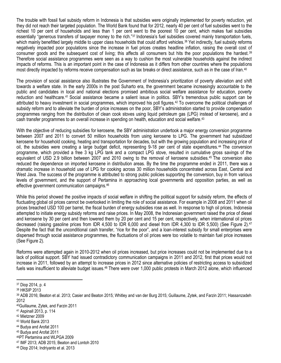The trouble with fossil fuel subsidy reform in Indonesia is that subsidies were originally implemented for poverty reduction, yet they did not reach their targeted population. The World Bank found that for 2012, nearly 40 per cent of fuel subsidies went to the richest 10 per cent of households and less than 1 per cent went to the poorest 10 per cent, which makes fuel subsidies essentially "generous transfers of taxpayer money to the rich."<sup>37</sup> Indonesia's fuel subsidies covered mainly transportation fuels, which mainly benefitted largely middle to upper class households that could afford vehicles.<sup>38</sup> Yet indirectly, fuel subsidy reforms negatively impacted poor populations since the increase in fuel prices creates headline inflation, raising the overall cost of consumer goods and the subsequent cost of living; this affects all consumers but hits the poor populations the hardest.<sup>39</sup> Therefore social assistance programmes were seen as a way to cushion the most vulnerable households against the indirect impacts of reforms. This is an important point in the case of Indonesia as it differs from other countries where the populations most directly impacted by reforms receive compensation such as tax breaks or direct assistance, such as in the case of Iran.<sup>40</sup>

The provision of social assistance also illustrates the Government of Indonesia's prioritization of poverty alleviation and shift towards a welfare state. In the early 2000s in the post Suharto era, the government became increasingly accountable to the public and candidates in local and national elections promised ambitious social welfare assistance for education, poverty reduction and healthcare.<sup>41</sup> Social assistance became a salient issue in politics. SBY's tremendous public support can be attributed to heavy investment in social programmes, which improved his poll figures.<sup>42</sup> To overcome the political challenges of subsidy reform and to alleviate the burden of price increases on the poor, SBY's administration started to provide compensation programmes ranging from the distribution of clean cook stoves using liquid petroleum gas (LPG) instead of kerosene), and a cash transfer programmes to an overall increase in spending on health, education and social welfare.<sup>43</sup>

With the objective of reducing subsidies for kerosene, the SBY administration undertook a major energy conversion programme between 2007 and 2011 to convert 50 million households from using kerosene to LPG. The government had subsidized kerosene for household cooking, heating and transportation for decades, but with the growing population and increasing price of oil, the subsidies were creating a large budget deficit, representing 9-18 per cent of state expenditures.<sup>44</sup> The conversion programme, which provided a free 3 kg LPG tank and a compact LPG stove, resulted in cumulative gross savings of the equivalent of USD 2.9 billion between 2007 and 2010 owing to the removal of kerosene subsidies.<sup>45</sup> The conversion also reduced the dependence on imported kerosene in distribution areas. By the time the programme ended in 2011, there was a dramatic increase in household use of LPG for cooking across 30 million households concentrated across East, Central and West Java. The success of the programme is attributed to strong public policies supporting the conversion, buy in from various levels of government, and the support of Pertamina in approaching local governments and opposition parties, as well as effective government communication campaigns.<sup>46</sup>

While this period showed the positive impacts of social welfare in shifting the political support for subsidy reform, the effects of fluctuating global oil prices cannot be overlooked in limiting the role of social assistance. For example in 2008 and 2011 when oil prices breached USD 100 per barrel, the fiscal burden of energy subsidies rose as well. In response to high oil prices, Indonesia attempted to initiate energy subsidy reforms and raise prices. In May 2008, the Indonesian government raised the price of diesel and kerosene by 30 per cent and then lowered them by 20 per cent and 15 per cent, respectively, when international oil prices decreased (raising gasoline prices from IDR 4,500 to IDR 6,000 and diesel from IDR 4,300 to IDR 5,500) (See Figure 2).<sup>47</sup> Despite the fact that the unconditional cash transfer, "rice for the poor", and a loan-interest subsidy for small enterprises were dispersed through social assistance programmes, the fluctuations of oil prices were too volatile to maintain fuel price increases (See Figure 2).

Reforms were attempted again in 2010-2012 when oil prices increased, but price increases could not be implemented due to a lack of political support. SBY had issued contradictory communication campaigns in 2011 and 2012, first that prices would not increase in 2011, followed by an attempt to increase prices in 2012 since alternative policies of restricting access to subsidized fuels was insufficient to alleviate budget issues.<sup>48</sup> There were over 1,000 public protests in March 2012 alone, which influenced

 $\overline{a}$ 

- <sup>46</sup>PT Pertamina and WLPGA 2009
- <sup>47</sup> IMF 2013; ADB 2015; Beaton and Lontoh 2010
- <sup>48</sup> Diop 2014; Indriyanto et al. 2013

<sup>37</sup> Diop 2014, p. 4

<sup>38</sup> HKSIP 2013

<sup>39</sup> ADB 2016; Beaton et al. 2013; Casier and Beaton 2015; Whitley and van der Burg 2015; Guillaume, Zytek, and Farzin 2011; Hassanzadeh 2012

<sup>40</sup>Guillaume, Zytek, and Farzin 2011

<sup>41</sup> Aspinall 2013, p. 114

<sup>42</sup> Mietzner 2009

<sup>43</sup> World Bank 2013

<sup>44</sup> Budya and Arofat 2011

<sup>45</sup> Budya and Arofat 2011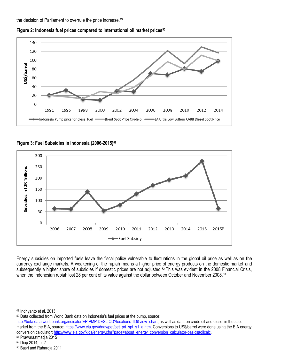the decision of Parliament to overrule the price increase.<sup>49</sup>





**Figure 3: Fuel Subsidies in Indonesia (2006-2015)<sup>51</sup>**



Energy subsidies on imported fuels leave the fiscal policy vulnerable to fluctuations in the global oil price as well as on the currency exchange markets. A weakening of the rupiah means a higher price of energy products on the domestic market and subsequently a higher share of subsidies if domestic prices are not adjusted.<sup>52</sup> This was evident in the 2008 Financial Crisis, when the Indonesian rupiah lost 28 per cent of its value against the dollar between October and November 2008.<sup>53</sup>

 $\overline{a}$ 

<sup>50</sup> Data collected from World Bank data on Indonesia's fuel prices at the pump, source:

[http://beta.data.worldbank.org/indicator/EP.PMP.DESL.CD?locations=ID&view=chart,](http://beta.data.worldbank.org/indicator/EP.PMP.DESL.CD?locations=ID&view=chart) as well as data on crude oil and diesel in the spot market from the EIA, source[: https://www.eia.gov/dnav/pet/pet\\_pri\\_spt\\_s1\\_a.htm.](https://www.eia.gov/dnav/pet/pet_pri_spt_s1_a.htm) Conversions to US\$/barrel were done using the EIA energy conversion calculator[: http://www.eia.gov/kids/energy.cfm?page=about\\_energy\\_conversion\\_calculator-basics#oilcalc.](http://www.eia.gov/kids/energy.cfm?page=about_energy_conversion_calculator-basics#oilcalc)

<sup>49</sup> Indriyanto et al. 2013

<sup>51</sup> Prawuraatmadja 2015

<sup>52</sup> Diop 2014, p. 2

<sup>53</sup> Basri and Rahardja 2011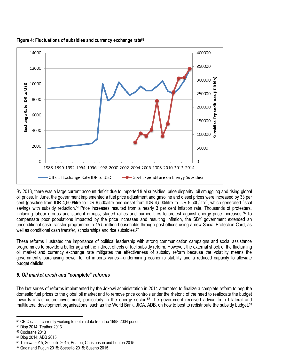

**Figure 4: Fluctuations of subsidies and currency exchange rate<sup>54</sup>**

By 2013, there was a large current account deficit due to imported fuel subsidies, price disparity, oil smuggling and rising global oil prices. In June, the government implemented a fuel price adjustment and gasoline and diesel prices were increased by 33 per cent (gasoline from IDR 4,500/litre to IDR 6,500/litre and diesel from IDR 4,500/litre to IDR 5,500/litre), which generated fiscal savings with subsidy reduction.<sup>55</sup> Price increases resulted from a nearly 3 per cent inflation rate. Thousands of protesters, including labour groups and student groups, staged rallies and burned tires to protest against energy price increases.<sup>56</sup> To compensate poor populations impacted by the price increases and resulting inflation, the SBY government extended an unconditional cash transfer programme to 15.5 million households through post offices using a new Social Protection Card, as well as conditional cash transfer, scholarships and rice subsidies.<sup>57</sup>

These reforms illustrated the importance of political leadership with strong communication campaigns and social assistance programmes to provide a buffer against the indirect effects of fuel subsidy reform. However, the external shock of the fluctuating oil market and currency exchange rate mitigates the effectiveness of subsidy reform because the volatility means the government's purchasing power for oil imports varies—undermining economic stability and a reduced capacity to alleviate budget deficits.

## <span id="page-12-0"></span>*6. Oil market crash and "complete" reforms*

The last series of reforms implemented by the Jokowi administration in 2014 attempted to finalize a complete reform to peg the domestic fuel prices to the global oil market and to remove price controls under the rhetoric of the need to reallocate the budget towards infrastructure investment, particularly in the energy sector. <sup>58</sup> The government received advice from bilateral and multilateral development organisations, such as the World Bank, JICA, ADB, on how to best to redistribute the subsidy budget.<sup>59</sup>

l <sup>54</sup> CEIC data – currently working to obtain data from the 1998-2004 period.

<sup>55</sup> Diop 2014; Teather 2013

<sup>56</sup> Cochrane 2013

<sup>57</sup> Diop 2014; ADB 2015

<sup>58</sup> Tumiwa 2015; Soeseilo 2015; Beaton, Christensen and Lontoh 2015

<sup>59</sup> Qadir and Puguh 2015; Soeseilo 2015; Suseno 2015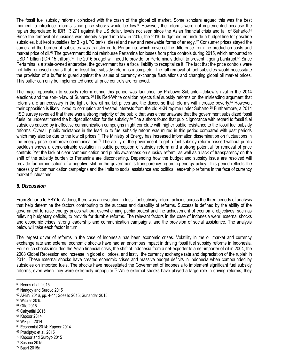The fossil fuel subsidy reforms coincided with the crash of the global oil market. Some scholars argued this was the best moment to introduce reforms since price shocks would be low.<sup>60</sup> However, the reforms were not implemented because the rupiah depreciated to IDR 13,271 against the US dollar, levels not seen since the Asian financial crisis and fall of Suharto.<sup>61</sup> Since the removal of subsidies was already signed into law in 2015, the 2016 budget did not include a budget line for gasoline subsidies, but kept subsidies for 3 kg LPG tanks, diesel and new and renewable forms of energy.<sup>62</sup> Consumer prices stayed the same and the burden of subsidies was transferred to Pertamina, which covered the difference from the production costs and market price of oil.<sup>63</sup> The government did not reimburse Pertamina for losses from price controls during 2015, which amounted to USD 1 billion (IDR 15 trillion).<sup>64</sup> The 2016 budget will need to provide for Pertamina's deficit to prevent it going bankrupt.<sup>65</sup> Since Pertamina is a state-owned enterprise, the government has a fiscal liability to recapitalize it. The fact that the price controls were not fully removed means that the fossil fuel subsidy reform is incomplete. The full removal of fuel subsidies would necessitate the provision of a buffer to guard against the issues of currency exchange fluctuations and changing global oil market prices. This buffer can only be implemented once all price controls are removed.

The major opposition to subsidy reform during this period was launched by Prabowo Subianto—Jokowi's rival in the 2014 elections and the son-in-law of Suharto. <sup>66</sup> His Red-White coalition rejects fuel subsidy reforms on the misleading argument that reforms are unnecessary in the light of low oil market prices and the discourse that reforms will increase poverty.<sup>67</sup> However, their opposition is likely linked to corruption and vested interests from the old KKN regime under Suharto.<sup>68</sup> Furthermore, a 2014 IISD survey revealed that there was a strong majority of the public that was either unaware that the government subsidized fossil fuels, or underestimated the budget allocation for the subsidy.<sup>69</sup> The authors found that public ignorance with regard to fossil fuel subsidies caused by ineffective communication campaigns might correlate with higher public resistance to the fossil fuel subsidy reforms. Overall, public resistance in the lead up to fuel subsidy reform was muted in this period compared with past periods which may also be due to the low oil prices.<sup>70</sup> The Ministry of Energy has increased information dissemination on fluctuations in the energy price to improve communication.<sup>71</sup> The ability of the government to get a fuel subsidy reform passed without public backlash shows a demonstrable evolution in public perception of subsidy reform and a strong potential for removal of price controls. Yet the lack of clear communication and public awareness on subsidy reform, as well as a lack of transparency on the shift of the subsidy burden to Pertamina are disconcerting. Depending how the budget and subsidy issue are resolved will provide further indication of a negative shift in the government's transparency regarding energy policy. This period reflects the necessity of communication campaigns and the limits to social assistance and political leadership reforms in the face of currency market fluctuations.

#### <span id="page-13-0"></span>*8. Discussion*

From Suharto to SBY to Widodo, there was an evolution in fossil fuel subsidy reform policies across the three periods of analysis that help determine the factors contributing to the success and durability of reforms. Success is defined by the ability of the government to raise energy prices without overwhelming public protest and the achievement of economic objectives, such as relieving budgetary deficits, to provide for durable reforms. The relevant factors in the case of Indonesia were: external shocks and economic crises, strong leadership and communication campaigns, and the provision of social assistance. The analysis below will take each factor in turn.

The largest driver of reforms in the case of Indonesia has been economic crises. Volatility in the oil market and currency exchange rate and external economic shocks have had an enormous impact in driving fossil fuel subsidy reforms in Indonesia. Four such shocks included the Asian financial crisis, the shift of Indonesia from a net-exporter to a net-importer of oil in 2004, the 2008 Global Recession and increase in global oil prices, and lastly, the currency exchange rate and depreciation of the rupiah in 2014. These external shocks have created economic crises and massive budget deficits in Indonesia when compounded by subsidies on imported fuels. The shocks have necessitated the Government of Indonesia to implement significant fuel subsidy reforms, even when they were extremely unpopular.<sup>72</sup> While external shocks have played a large role in driving reforms, they

- <sup>63</sup> Witular 2015
- <sup>64</sup> Otto 2015

 $\overline{a}$ 

- <sup>65</sup> Cahyafitri 2015
- <sup>66</sup> Kapoor 2014
- <sup>67</sup> Wikipdr 2014
- <sup>68</sup> Economist 2014; Kapoor 2014
- <sup>69</sup> Pradiptyo et al. 2015
- <sup>70</sup> Kapoor and Suroyo 2015
- <sup>71</sup> Suseno 2015
- <sup>72</sup> Basri 2015a

<sup>60</sup> Renes et al. 2015

<sup>61</sup> Nangoy and Suroyo 2015

<sup>62</sup> APBN 2016, pp. 4-41; Soesilo 2015; Sunandar 2015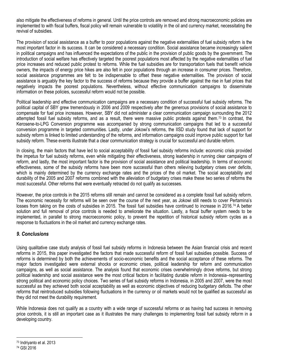also mitigate the effectiveness of reforms in general. Until the price controls are removed and strong macroeconomic policies are implemented to with fiscal buffers, fiscal policy will remain vulnerable to volatility in the oil and currency market, necessitating the revival of subsidies.

The provision of social assistance as a buffer to poor populations against the negative externalities of fuel subsidy reform is the most important factor in its success. It can be considered a necessary condition. Social assistance became increasingly salient in political campaigns and has influenced the expectations of the public in the provision of public goods by the government. The introduction of social welfare has effectively targeted the poorest populations most affected by the negative externalities of fuel price increases and reduced public protest to reforms. While the fuel subsidies are for transportation fuels that benefit vehicle owners, the impacts of energy price hikes are also felt in poor populations through an increase in consumer prices. Therefore, social assistance programmes are felt to be indispensable to offset these negative externalities. The provision of social assistance is arguably the key factor to the success of reforms because they provide a buffer against the rise in fuel prices that negatively impacts the poorest populations. Nevertheless, without effective communication campaigns to disseminate information on these policies, successful reform would not be possible.

Political leadership and effective communication campaigns are a necessary condition of successful fuel subsidy reforms. The political capital of SBY grew tremendously in 2006 and 2009 respectively after the generous provisions of social assistance to compensate for fuel price increases. However, SBY did not administer a clear communication campaign surrounding the 2012 attempted fossil fuel subsidy reforms, and as a result, there were massive public protests against them.<sup>73</sup> In contrast, the Kerosene-to-LPG Conversion programme was accompanied by strong communication campaigns that led to a successful conversion programme in targeted communities. Lastly, under Jokowi's reforms, the IISD study found that lack of support for subsidy reform is linked to limited understanding of the reforms, and information campaigns could improve public support for fuel subsidy reform. These events illustrate that a clear communication strategy is crucial for successful and durable reform.

In closing, the main factors that have led to social acceptability of fossil fuel subsidy reforms include: economic crisis provided the impetus for fuel subsidy reforms, even while mitigating their effectiveness, strong leadership in running clear campaigns of reform, and lastly, the most important factor is the provision of social assistance and political leadership. In terms of economic effectiveness, some of the subsidy reforms have been more successful than others relieving budgetary crises over deficits, which is mainly determined by the currency exchange rates and the prices of the oil market. The social acceptability and durability of the 2005 and 2007 reforms combined with the alleviation of budgetary crises make these two series of reforms the most successful. Other reforms that were eventually retracted do not qualify as successes.

However, the price controls in the 2015 reforms still remain and cannot be considered as a complete fossil fuel subsidy reform. The economic necessity for reforms will be seen over the course of the next year, as Jokowi still needs to cover Pertamina's losses from taking on the costs of subsidies in 2015. The fossil fuel subsidies have continued to increase in 2016.<sup>74</sup> A better solution and full removal of price controls is needed to ameliorate the situation. Lastly, a fiscal buffer system needs to be implemented, in parallel to strong macroeconomic policy, to prevent the repetition of historical subsidy reform cycles as a response to fluctuations in the oil market and currency exchange rates.

## <span id="page-14-0"></span>*9. Conclusions*

Using qualitative case study analysis of fossil fuel subsidy reforms in Indonesia between the Asian financial crisis and recent reforms in 2015, this paper investigated the factors that made successful reform of fossil fuel subsidies possible. Success of reforms is determined by both the achievements of socio-economic benefits and the social acceptance of these reforms. The major factors investigated were external shocks or economic crises, political leadership for reform and communication campaigns, as well as social assistance. The analysis found that economic crises overwhelmingly drove reforms, but strong political leadership and social assistance were the most critical factors in facilitating durable reform in Indonesia–representing strong political and economic policy choices. Two series of fuel subsidy reforms in Indonesia, in 2005 and 2007, were the most successful as they achieved both social acceptability as well as economic objectives of reducing budgetary deficits. The other reforms that reintroduced subsidies following fluctuations in the currency or oil markets would not be qualified as successful as they did not meet the durability requirement.

While Indonesia does not qualify as a country with a wide range of successful reforms or as having had success in removing price controls, it is still an important case as it illustrates the many challenges to implementing fossil fuel subsidy reform in a developing country.

 $\overline{\phantom{a}}$ 

<sup>73</sup> Indriyanto et al. 2013

<sup>74</sup> GSI 2016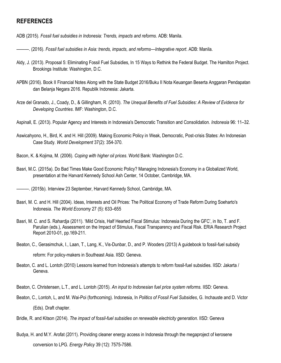# <span id="page-15-0"></span>**REFERENCES**

- ADB (2015). *Fossil fuel subsidies in Indonesia: Trends, impacts and reforms*. ADB: Manila.
- ———. (2016). *Fossil fuel subsidies in Asia: trends, impacts, and reforms—Integrative report*. ADB: Manila.
- Aldy, J. (2013). Proposal 5: Eliminating Fossil Fuel Subsidies, In 15 Ways to Rethink the Federal Budget. The Hamilton Project. Brookings Institute: Washington, D.C.
- APBN (2016). Book II Financial Notes Along with the State Budget 2016/Buku II Nota Keuangan Beserta Anggaran Pendapatan dan Belanja Negara 2016. Republik Indonesia: Jakarta.
- Arze del Granado, J., Coady, D., & Gillingham, R. (2010). *The Unequal Benefits of Fuel Subsidies: A Review of Evidence for Developing Countries*. IMF: Washington, D.C.
- Aspinall, E. (2013). Popular Agency and Interests in Indonesia's Democratic Transition and Consolidation. *Indonesia* 96: 11–32.
- Aswicahyono, H., Bird, K. and H. Hill (2009). Making Economic Policy in Weak, Democratic, Post-crisis States: An Indonesian Case Study. *World Development* 37(2): 354-370.
- Bacon, K. & Kojima, M. (2006). *Coping with higher oil prices*. World Bank: Washington D.C.
- Basri, M.C. (2015a). Do Bad Times Make Good Economic Policy? Managing Indonesia's Economy in a Globalized World, presentation at the Harvard Kennedy School Ash Center, 14 October, Cambridge, MA.
- ———. (2015b). Interview 23 September, Harvard Kennedy School, Cambridge, MA.
- Basri, M. C. and H. Hill (2004). Ideas, Interests and Oil Prices: The Political Economy of Trade Reform During Soeharto's Indonesia. *The World Economy* 27 (5): 633–655
- Basri, M. C. and S. Rahardja (2011). 'Mild Crisis, Half Hearted Fiscal Stimulus: Indonesia During the GFC', in Ito, T. and F. Parulian (eds.), Assessment on the Impact of Stimulus, Fiscal Transparency and Fiscal Risk. ERIA Research Project Report 2010-01, pp.169-211.
- Beaton, C., Gerasimchuk, I., Laan, T., Lang, K., Vis-Dunbar, D., and P. Wooders (2013) A guidebook to fossil-fuel subsidy reform: For policy-makers in Southeast Asia. IISD: Geneva.
- Beaton, C. and L. Lontoh (2010) Lessons learned from Indonesia's attempts to reform fossil-fuel subsidies. IISD: Jakarta / Geneva.
- Beaton, C. Christensen, L.T., and L. Lontoh (2015). *An input to Indonesian fuel price system reforms.* IISD: Geneva.
- Beaton, C., Lontoh, L, and M. Wai-Poi (forthcoming). Indonesia, In *Politics of Fossil Fuel Subsidies*, G. Inchauste and D. Victor (Eds). Draft chapter.
- Bridle, R. and Kitson (2014). *The impact of fossil-fuel subsidies on renewable electricity generation*. IISD: Geneva
- Budya, H. and M.Y. Arofat (2011). Providing cleaner energy access in Indonesia through the megaproject of kerosene conversion to LPG. *Energy Policy* 39 (12): 7575-7586.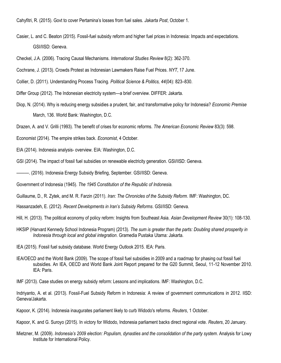Cahyfitri, R. (2015). Govt to cover Pertamina's losses from fuel sales. *Jakarta Post*, October 1.

Casier, L. and C. Beaton (2015). Fossil-fuel subsidy reform and higher fuel prices in Indonesia: Impacts and expectations. GSI/IISD: Geneva.

Checkel, J.A. (2006). Tracing Causal Mechanisms. *International Studies Review* 8(2): 362-370.

Cochrane, J. (2013). Crowds Protest as Indonesian Lawmakers Raise Fuel Prices. *NYT*, 17 June.

Collier, D. (2011). Understanding Process Tracing. *Political Science & Politics, 44*(04): 823–830.

Differ Group (2012). The Indonesian electricity system—a brief overview. DIFFER: Jakarta.

Diop, N. (2014). Why is reducing energy subsidies a prudent, fair, and transformative policy for Indonesia? *Economic Premise* March, 136. World Bank: Washington, D.C.

Drazen, A. and V. Grilli (1993). The benefit of crises for economic reforms*. The American Economic Review* 83(3): 598.

- Economist (2014). The empire strikes back. *Economist*, 4 October.
- EIA (2014). Indonesia analysis- overview. EIA: Washington, D.C.
- GSI (2014). The impact of fossil fuel subsidies on renewable electricity generation. GSI/IISD: Geneva.
- ———. (2016). Indonesia Energy Subsidy Briefing, September. GSI/IISD: Geneva.

Government of Indonesia (1945). *The 1945 Constitution of the Republic of Indonesia.* 

Guillaume, D., R. Zytek, and M. R. Farzin (2011). *Iran: The Chronicles of the Subsidy Reform*. IMF: Washington, DC.

Hassanzadeh, E. (2012). *Recent Developments in Iran's Subsidy Reforms*. GSI/IISD: Geneva.

Hill, H. (2013). The political economy of policy reform: Insights from Southeast Asia. *Asian Development Review* 30(1): 108-130.

- HKSIP (Harvard Kennedy School Indonesia Program) (2013). *The sum is greater than the parts: Doubling shared prosperity in Indonesia through local and global integration*. Gramedia Pustaka Utama: Jakarta.
- IEA (2015). Fossil fuel subsidy database. World Energy Outlook 2015. IEA: Paris.
- IEA/OECD and the World Bank (2009). The scope of fossil fuel subsidies in 2009 and a roadmap for phasing out fossil fuel subsidies. An IEA, OECD and World Bank Joint Report prepared for the G20 Summit, Seoul, 11-12 November 2010. IEA: Paris.

IMF (2013). Case studies on energy subsidy reform: Lessons and implications. IMF: Washington, D.C.

Indriyanto, A. et al. (2013). Fossil-Fuel Subsidy Reform in Indonesia: A review of government communications in 2012. IISD: Geneva/Jakarta.

Kapoor, K. (2014). Indonesia inaugurates parliament likely to curb Widodo's reforms. *Reuters*, 1 October.

Kapoor, K. and G. Suroyo (2015). In victory for Widodo, Indonesia parliament backs direct regional vote. *Reuters*, 20 January.

Mietzner, M. (2009). *Indonesia's 2009 election: Populism, dynasties and the consolidation of the party system*. Analysis for Lowy Institute for International Policy.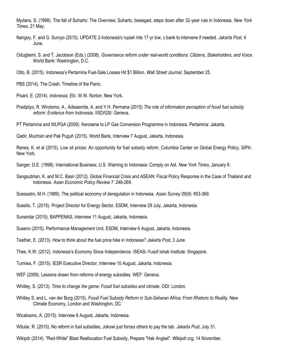Mydans, S. (1998). The fall of Suharto: The Overview; Suharto, besieged, steps down after 32-year rule in Indonesia. *New York Times*, 21 May.

- Nangoy, F. and G. Suroyo (2015). UPDATE 2-Indonesia's rupiah hits 17-yr low, c.bank to intervene if needed. *Jakarta Post*, 4 June.
- Odugbemi, S. and T. Jacobson (Eds.) (2008). *Governance reform under real-world conditions: Citizens, Stakeholders, and Voice*. World Bank: Washington, D.C.
- Otto, B. (2015). Indonesia's Pertamina Fuel-Sale Losses Hit \$1 Billion. *Wall Street Journal*, September 25.
- PBS (2014). The Crash: Timeline of the Panic.
- Pisani, E. (2014). *Indonesia, Etc*. W.W. Norton: New York.
- Pradiptyo, R. Wirotomo, A., Adisasmita, A. and Y.H. Permana (2015) *The role of information perception of fossil fuel subsidy reform: Evidence from Indonesia*. IISD/GSI: Geneva.
- PT Pertamina and WLPGA (2009). Kerosene to LP Gas Conversion Programme in Indonesia. Pertamina: Jakarta.

Qadir, Muchsin and Pak Puguh (2015). World Bank, Interview 7 August, Jakarta, Indonesia.

Renes, K. et al (2015). Low oil prices: An opportunity for fuel subsidy reform. Columbia Center on Global Energy Policy, SIPA: New York.

Sanger, D.E. (1998). International Business; U.S. Warning to Indonesia: Comply on Aid. *New York Times*, January 8.

Sangsubhan, K. and M.C. Basri (2012). Global Financial Crisis and ASEAN: Fiscal Policy Response in the Case of Thailand and Indonesia. *Asian Economic Policy Review* 7: 248-269.

Soesastro, M.H. (1989). The political economy of deregulation in Indonesia. *Asian Survey* 29(9): 853-369.

Soesilo, T. (2015). Project Director for Energy Sector, ESDM, Interview 29 July, Jakarta, Indonesia.

- Sunandar (2015). BAPPENAS, Interview 11 August, Jakarta, Indonesia.
- Suseno (2015). Performance Management Unit, ESDM, Interview 6 August, Jakarta, Indonesia.
- Teather, E. (2013). How to think about the fuel price hike in Indonesia? *Jakarta Post*, 3 June.
- Thee, K.W. (2012). Indonesia's Economy Since Independence. ISEAS–Yusof Ishak Institute: Singapore.
- Tumiwa, F. (2015). IESR Executive Director, Interview 10 August, Jakarta, Indonesia.
- WEF (2009). Lessons drawn from reforms of energy subsidies. WEF: Geneva.
- Whitley, S. (2013). *Time to change the game: Fossil fuel subsides and climate*. ODI: London.
- Whitley S. and L. van der Burg (2015). *Fossil Fuel Subsidy Reform in Sub-Saharan Africa: From Rhetoric to Reality.* New Climate Economy, London and Washington, DC
- Wicaksono, A. (2015). Interview 6 August, Jakarta, Indonesia.
- Witular, R. (2015). No reform in fuel subsidies, Jokowi just forces others to pay the tab. *Jakarta Post*, July 31.
- Wikipdr (2014). "Red-White" Blast Reallocation Fuel Subsidy, Prepare "Hak Angket". *Wikipdr.org*, 14 November.